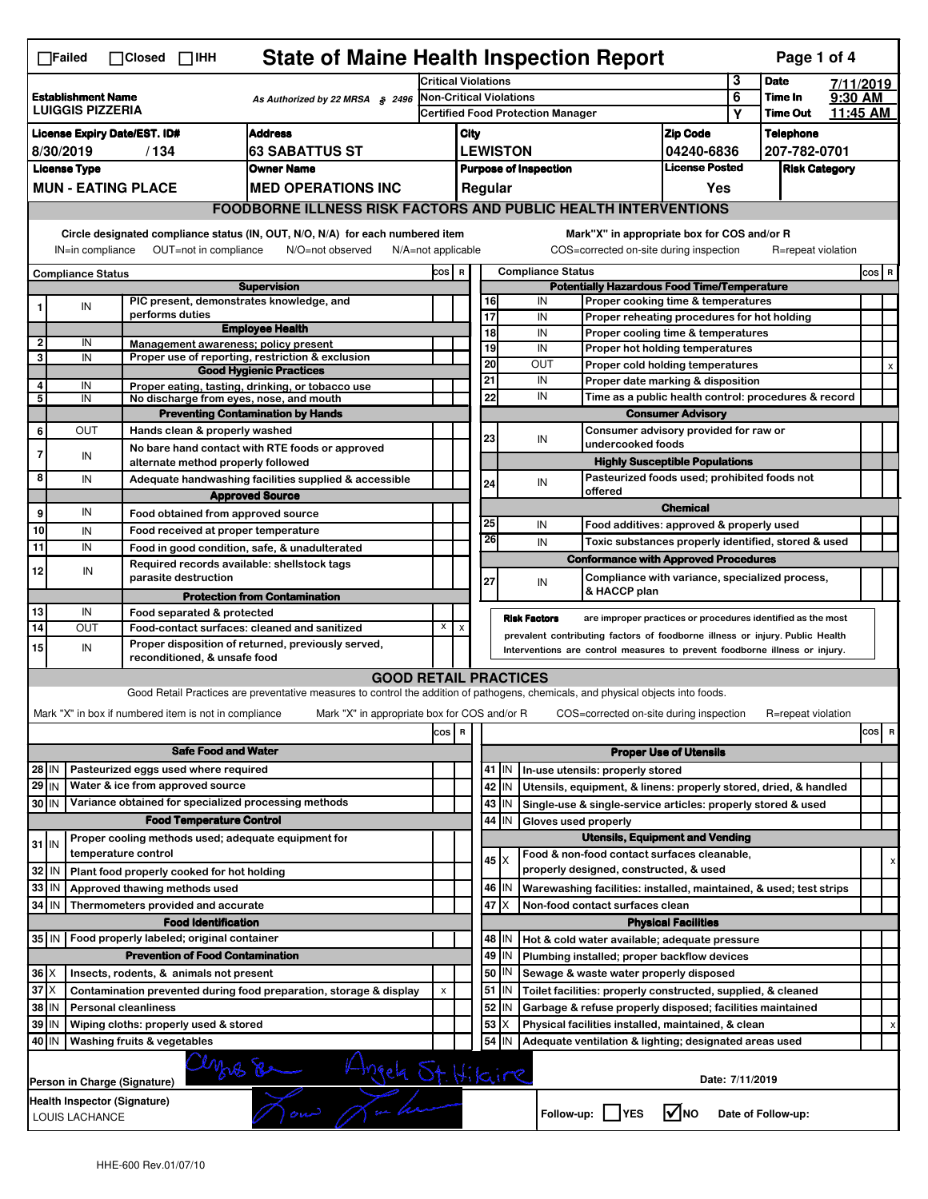| <b>State of Maine Health Inspection Report</b><br>Page 1 of 4<br>$\Box$ Failed<br>$\Box$ Closed<br>$\Box$ IHH                                                                                                                                                                         |                                                                                                                                                                                                              |                               |                                                       |                                                                                                                                   |                                                                                          |                                                                            |                                                                                                           |                               |                                                                                                                                             |                                       |              |                     |  |         |   |  |
|---------------------------------------------------------------------------------------------------------------------------------------------------------------------------------------------------------------------------------------------------------------------------------------|--------------------------------------------------------------------------------------------------------------------------------------------------------------------------------------------------------------|-------------------------------|-------------------------------------------------------|-----------------------------------------------------------------------------------------------------------------------------------|------------------------------------------------------------------------------------------|----------------------------------------------------------------------------|-----------------------------------------------------------------------------------------------------------|-------------------------------|---------------------------------------------------------------------------------------------------------------------------------------------|---------------------------------------|--------------|---------------------|--|---------|---|--|
|                                                                                                                                                                                                                                                                                       |                                                                                                                                                                                                              |                               |                                                       | Critical Violations                                                                                                               |                                                                                          |                                                                            |                                                                                                           |                               |                                                                                                                                             | 3                                     | <b>Date</b>  | 7/11/2019           |  |         |   |  |
| <b>Establishment Name</b><br>As Authorized by 22 MRSA § 2496<br><b>LUIGGIS PIZZERIA</b>                                                                                                                                                                                               |                                                                                                                                                                                                              |                               |                                                       | <b>Non-Critical Violations</b><br><b>Certified Food Protection Manager</b>                                                        |                                                                                          |                                                                            |                                                                                                           |                               |                                                                                                                                             | 6                                     | Time In      | 9:30 AM<br>11:45 AM |  |         |   |  |
|                                                                                                                                                                                                                                                                                       |                                                                                                                                                                                                              |                               |                                                       |                                                                                                                                   |                                                                                          |                                                                            |                                                                                                           |                               |                                                                                                                                             |                                       | Υ            | <b>Time Out</b>     |  |         |   |  |
| <b>Address</b><br><b>License Expiry Date/EST. ID#</b>                                                                                                                                                                                                                                 |                                                                                                                                                                                                              |                               |                                                       |                                                                                                                                   |                                                                                          | City                                                                       |                                                                                                           |                               |                                                                                                                                             | <b>Zip Code</b>                       |              | <b>Telephone</b>    |  |         |   |  |
| 63 SABATTUS ST<br>8/30/2019<br>/134                                                                                                                                                                                                                                                   |                                                                                                                                                                                                              |                               |                                                       |                                                                                                                                   |                                                                                          | <b>LEWISTON</b><br>04240-6836                                              |                                                                                                           |                               |                                                                                                                                             |                                       | 207-782-0701 |                     |  |         |   |  |
| <b>License Type</b><br><b>Owner Name</b>                                                                                                                                                                                                                                              |                                                                                                                                                                                                              |                               |                                                       |                                                                                                                                   | <b>License Posted</b><br><b>Purpose of Inspection</b><br><b>Risk Category</b><br>Regular |                                                                            |                                                                                                           |                               |                                                                                                                                             |                                       |              |                     |  |         |   |  |
| <b>MUN - EATING PLACE</b><br><b>MED OPERATIONS INC</b>                                                                                                                                                                                                                                |                                                                                                                                                                                                              |                               |                                                       |                                                                                                                                   |                                                                                          |                                                                            |                                                                                                           |                               |                                                                                                                                             | Yes                                   |              |                     |  |         |   |  |
|                                                                                                                                                                                                                                                                                       |                                                                                                                                                                                                              |                               |                                                       | <b>FOODBORNE ILLNESS RISK FACTORS AND PUBLIC HEALTH INTERVENTIONS</b>                                                             |                                                                                          |                                                                            |                                                                                                           |                               |                                                                                                                                             |                                       |              |                     |  |         |   |  |
| Circle designated compliance status (IN, OUT, N/O, N/A) for each numbered item<br>Mark"X" in appropriate box for COS and/or R<br>IN=in compliance<br>OUT=not in compliance<br>N/O=not observed<br>N/A=not applicable<br>COS=corrected on-site during inspection<br>R=repeat violation |                                                                                                                                                                                                              |                               |                                                       |                                                                                                                                   |                                                                                          |                                                                            |                                                                                                           |                               |                                                                                                                                             |                                       |              |                     |  |         |   |  |
| <b>Compliance Status</b>                                                                                                                                                                                                                                                              |                                                                                                                                                                                                              |                               |                                                       |                                                                                                                                   |                                                                                          | COS R                                                                      |                                                                                                           |                               | <b>Compliance Status</b>                                                                                                                    |                                       |              |                     |  | $cos$ R |   |  |
| <b>Supervision</b>                                                                                                                                                                                                                                                                    |                                                                                                                                                                                                              |                               |                                                       |                                                                                                                                   | <b>Potentially Hazardous Food Time/Temperature</b>                                       |                                                                            |                                                                                                           |                               |                                                                                                                                             |                                       |              |                     |  |         |   |  |
| 1                                                                                                                                                                                                                                                                                     | IN                                                                                                                                                                                                           | performs duties               |                                                       | PIC present, demonstrates knowledge, and                                                                                          |                                                                                          |                                                                            | IN<br>16<br>Proper cooking time & temperatures<br>17<br>IN<br>Proper reheating procedures for hot holding |                               |                                                                                                                                             |                                       |              |                     |  |         |   |  |
|                                                                                                                                                                                                                                                                                       |                                                                                                                                                                                                              |                               |                                                       | <b>Employee Health</b>                                                                                                            |                                                                                          |                                                                            | 18                                                                                                        |                               | IN<br>Proper cooling time & temperatures                                                                                                    |                                       |              |                     |  |         |   |  |
| 2                                                                                                                                                                                                                                                                                     | IN                                                                                                                                                                                                           |                               |                                                       | Management awareness; policy present                                                                                              |                                                                                          |                                                                            | 19                                                                                                        |                               | IN<br>Proper hot holding temperatures                                                                                                       |                                       |              |                     |  |         |   |  |
| 3                                                                                                                                                                                                                                                                                     | IN                                                                                                                                                                                                           |                               |                                                       | Proper use of reporting, restriction & exclusion                                                                                  |                                                                                          |                                                                            | 20                                                                                                        |                               | <b>OUT</b><br>Proper cold holding temperatures                                                                                              |                                       |              |                     |  |         |   |  |
| 4                                                                                                                                                                                                                                                                                     |                                                                                                                                                                                                              |                               |                                                       | <b>Good Hygienic Practices</b>                                                                                                    |                                                                                          |                                                                            | 21                                                                                                        |                               | IN<br>Proper date marking & disposition                                                                                                     |                                       |              |                     |  |         |   |  |
| 5                                                                                                                                                                                                                                                                                     | IN<br>IN                                                                                                                                                                                                     |                               |                                                       | Proper eating, tasting, drinking, or tobacco use<br>No discharge from eyes, nose, and mouth                                       |                                                                                          |                                                                            | 22                                                                                                        |                               | IN<br>Time as a public health control: procedures & record                                                                                  |                                       |              |                     |  |         |   |  |
|                                                                                                                                                                                                                                                                                       |                                                                                                                                                                                                              |                               |                                                       | <b>Preventing Contamination by Hands</b>                                                                                          |                                                                                          |                                                                            |                                                                                                           |                               |                                                                                                                                             | <b>Consumer Advisory</b>              |              |                     |  |         |   |  |
| 6                                                                                                                                                                                                                                                                                     | <b>OUT</b>                                                                                                                                                                                                   |                               | Hands clean & properly washed                         |                                                                                                                                   |                                                                                          |                                                                            |                                                                                                           |                               | Consumer advisory provided for raw or                                                                                                       |                                       |              |                     |  |         |   |  |
|                                                                                                                                                                                                                                                                                       |                                                                                                                                                                                                              |                               |                                                       | No bare hand contact with RTE foods or approved                                                                                   |                                                                                          |                                                                            | 23                                                                                                        |                               | IN<br>undercooked foods                                                                                                                     |                                       |              |                     |  |         |   |  |
| 7                                                                                                                                                                                                                                                                                     | IN                                                                                                                                                                                                           |                               | alternate method properly followed                    |                                                                                                                                   |                                                                                          |                                                                            |                                                                                                           |                               |                                                                                                                                             | <b>Highly Susceptible Populations</b> |              |                     |  |         |   |  |
| 8                                                                                                                                                                                                                                                                                     | IN                                                                                                                                                                                                           |                               |                                                       | Adequate handwashing facilities supplied & accessible                                                                             |                                                                                          |                                                                            | 24                                                                                                        |                               | Pasteurized foods used; prohibited foods not<br>IN                                                                                          |                                       |              |                     |  |         |   |  |
|                                                                                                                                                                                                                                                                                       | <b>Approved Source</b>                                                                                                                                                                                       |                               |                                                       |                                                                                                                                   |                                                                                          |                                                                            |                                                                                                           |                               | offered                                                                                                                                     |                                       |              |                     |  |         |   |  |
| 9                                                                                                                                                                                                                                                                                     | IN                                                                                                                                                                                                           |                               | Food obtained from approved source                    |                                                                                                                                   |                                                                                          |                                                                            |                                                                                                           |                               |                                                                                                                                             | <b>Chemical</b>                       |              |                     |  |         |   |  |
| 10                                                                                                                                                                                                                                                                                    | IN                                                                                                                                                                                                           |                               | Food received at proper temperature                   |                                                                                                                                   |                                                                                          |                                                                            | 25                                                                                                        |                               | IN<br>Food additives: approved & properly used                                                                                              |                                       |              |                     |  |         |   |  |
| 11                                                                                                                                                                                                                                                                                    | IN                                                                                                                                                                                                           |                               |                                                       | Food in good condition, safe, & unadulterated                                                                                     |                                                                                          |                                                                            | 26                                                                                                        |                               | IN<br>Toxic substances properly identified, stored & used                                                                                   |                                       |              |                     |  |         |   |  |
|                                                                                                                                                                                                                                                                                       |                                                                                                                                                                                                              |                               |                                                       | Required records available: shellstock tags                                                                                       |                                                                                          |                                                                            |                                                                                                           |                               | <b>Conformance with Approved Procedures</b>                                                                                                 |                                       |              |                     |  |         |   |  |
| 12                                                                                                                                                                                                                                                                                    | IN                                                                                                                                                                                                           |                               | parasite destruction                                  |                                                                                                                                   |                                                                                          |                                                                            | 27                                                                                                        |                               | Compliance with variance, specialized process,<br>IN                                                                                        |                                       |              |                     |  |         |   |  |
|                                                                                                                                                                                                                                                                                       |                                                                                                                                                                                                              |                               |                                                       | <b>Protection from Contamination</b>                                                                                              |                                                                                          |                                                                            |                                                                                                           |                               | & HACCP plan                                                                                                                                |                                       |              |                     |  |         |   |  |
| 13                                                                                                                                                                                                                                                                                    | IN                                                                                                                                                                                                           |                               | Food separated & protected                            |                                                                                                                                   |                                                                                          |                                                                            |                                                                                                           |                               | <b>Risk Factors</b>                                                                                                                         |                                       |              |                     |  |         |   |  |
| 14                                                                                                                                                                                                                                                                                    | OUT                                                                                                                                                                                                          |                               |                                                       | Food-contact surfaces: cleaned and sanitized                                                                                      | X                                                                                        | $\boldsymbol{\mathsf{x}}$                                                  |                                                                                                           |                               | are improper practices or procedures identified as the most<br>prevalent contributing factors of foodborne illness or injury. Public Health |                                       |              |                     |  |         |   |  |
| 15 <sup>1</sup>                                                                                                                                                                                                                                                                       | IN                                                                                                                                                                                                           |                               |                                                       | Proper disposition of returned, previously served,                                                                                |                                                                                          | Interventions are control measures to prevent foodborne illness or injury. |                                                                                                           |                               |                                                                                                                                             |                                       |              |                     |  |         |   |  |
|                                                                                                                                                                                                                                                                                       |                                                                                                                                                                                                              |                               | reconditioned, & unsafe food                          |                                                                                                                                   |                                                                                          |                                                                            |                                                                                                           |                               |                                                                                                                                             |                                       |              |                     |  |         |   |  |
|                                                                                                                                                                                                                                                                                       |                                                                                                                                                                                                              |                               |                                                       | <b>GOOD RETAIL PRACTICES</b>                                                                                                      |                                                                                          |                                                                            |                                                                                                           |                               |                                                                                                                                             |                                       |              |                     |  |         |   |  |
|                                                                                                                                                                                                                                                                                       |                                                                                                                                                                                                              |                               |                                                       | Good Retail Practices are preventative measures to control the addition of pathogens, chemicals, and physical objects into foods. |                                                                                          |                                                                            |                                                                                                           |                               |                                                                                                                                             |                                       |              |                     |  |         |   |  |
|                                                                                                                                                                                                                                                                                       |                                                                                                                                                                                                              |                               | Mark "X" in box if numbered item is not in compliance | Mark "X" in appropriate box for COS and/or R                                                                                      |                                                                                          |                                                                            |                                                                                                           |                               | COS=corrected on-site during inspection                                                                                                     |                                       |              | R=repeat violation  |  |         |   |  |
|                                                                                                                                                                                                                                                                                       |                                                                                                                                                                                                              |                               |                                                       |                                                                                                                                   | cos   R                                                                                  |                                                                            |                                                                                                           |                               |                                                                                                                                             |                                       |              |                     |  | cos     | R |  |
|                                                                                                                                                                                                                                                                                       |                                                                                                                                                                                                              |                               | <b>Safe Food and Water</b>                            |                                                                                                                                   |                                                                                          |                                                                            |                                                                                                           | <b>Proper Use of Utensils</b> |                                                                                                                                             |                                       |              |                     |  |         |   |  |
| 28 IN                                                                                                                                                                                                                                                                                 |                                                                                                                                                                                                              |                               | Pasteurized eggs used where required                  |                                                                                                                                   |                                                                                          |                                                                            |                                                                                                           |                               | 41   IN   In-use utensils: properly stored                                                                                                  |                                       |              |                     |  |         |   |  |
| 29 IN                                                                                                                                                                                                                                                                                 |                                                                                                                                                                                                              |                               | Water & ice from approved source                      |                                                                                                                                   |                                                                                          |                                                                            |                                                                                                           | 42   IN                       | Utensils, equipment, & linens: properly stored, dried, & handled                                                                            |                                       |              |                     |  |         |   |  |
| 30 IN                                                                                                                                                                                                                                                                                 |                                                                                                                                                                                                              |                               |                                                       | Variance obtained for specialized processing methods                                                                              |                                                                                          |                                                                            |                                                                                                           | 43 IN                         | Single-use & single-service articles: properly stored & used                                                                                |                                       |              |                     |  |         |   |  |
|                                                                                                                                                                                                                                                                                       |                                                                                                                                                                                                              |                               | <b>Food Temperature Control</b>                       |                                                                                                                                   |                                                                                          |                                                                            | 44                                                                                                        | IN                            | Gloves used properly                                                                                                                        |                                       |              |                     |  |         |   |  |
|                                                                                                                                                                                                                                                                                       |                                                                                                                                                                                                              |                               |                                                       | Proper cooling methods used; adequate equipment for                                                                               |                                                                                          |                                                                            |                                                                                                           |                               | <b>Utensils, Equipment and Vending</b>                                                                                                      |                                       |              |                     |  |         |   |  |
| $31$ IN                                                                                                                                                                                                                                                                               |                                                                                                                                                                                                              | temperature control           |                                                       |                                                                                                                                   |                                                                                          |                                                                            |                                                                                                           |                               | Food & non-food contact surfaces cleanable,                                                                                                 |                                       |              |                     |  |         |   |  |
| 32 IN                                                                                                                                                                                                                                                                                 |                                                                                                                                                                                                              |                               | Plant food properly cooked for hot holding            |                                                                                                                                   |                                                                                          |                                                                            |                                                                                                           | $45$ $\times$                 | properly designed, constructed, & used                                                                                                      |                                       |              |                     |  |         | х |  |
| 33   IN                                                                                                                                                                                                                                                                               |                                                                                                                                                                                                              | Approved thawing methods used |                                                       |                                                                                                                                   |                                                                                          |                                                                            |                                                                                                           | 46   IN                       | Warewashing facilities: installed, maintained, & used; test strips                                                                          |                                       |              |                     |  |         |   |  |
| 34 IN                                                                                                                                                                                                                                                                                 |                                                                                                                                                                                                              |                               | Thermometers provided and accurate                    |                                                                                                                                   |                                                                                          |                                                                            | 47                                                                                                        | ΙX                            | Non-food contact surfaces clean                                                                                                             |                                       |              |                     |  |         |   |  |
|                                                                                                                                                                                                                                                                                       |                                                                                                                                                                                                              |                               | <b>Food Identification</b>                            |                                                                                                                                   |                                                                                          |                                                                            |                                                                                                           |                               |                                                                                                                                             | <b>Physical Facilities</b>            |              |                     |  |         |   |  |
|                                                                                                                                                                                                                                                                                       | 35 IN   Food properly labeled; original container<br>48   IN<br>Hot & cold water available; adequate pressure                                                                                                |                               |                                                       |                                                                                                                                   |                                                                                          |                                                                            |                                                                                                           |                               |                                                                                                                                             |                                       |              |                     |  |         |   |  |
|                                                                                                                                                                                                                                                                                       |                                                                                                                                                                                                              |                               | <b>Prevention of Food Contamination</b>               |                                                                                                                                   |                                                                                          |                                                                            |                                                                                                           | 49 IN                         | Plumbing installed; proper backflow devices                                                                                                 |                                       |              |                     |  |         |   |  |
|                                                                                                                                                                                                                                                                                       | $36 \times$<br>Insects, rodents, & animals not present                                                                                                                                                       |                               |                                                       |                                                                                                                                   |                                                                                          |                                                                            | 50                                                                                                        | IN                            |                                                                                                                                             |                                       |              |                     |  |         |   |  |
|                                                                                                                                                                                                                                                                                       | Sewage & waste water properly disposed<br>$37$ $\times$<br>$51$ M<br>Toilet facilities: properly constructed, supplied, & cleaned<br>Contamination prevented during food preparation, storage & display<br>X |                               |                                                       |                                                                                                                                   |                                                                                          |                                                                            |                                                                                                           |                               |                                                                                                                                             |                                       |              |                     |  |         |   |  |
| 38 IN<br><b>Personal cleanliness</b>                                                                                                                                                                                                                                                  |                                                                                                                                                                                                              |                               |                                                       |                                                                                                                                   |                                                                                          |                                                                            |                                                                                                           | 52 IN                         | Garbage & refuse properly disposed; facilities maintained                                                                                   |                                       |              |                     |  |         |   |  |
| 39 IN<br>Wiping cloths: properly used & stored                                                                                                                                                                                                                                        |                                                                                                                                                                                                              |                               |                                                       |                                                                                                                                   |                                                                                          |                                                                            | 53                                                                                                        | X                             | Physical facilities installed, maintained, & clean                                                                                          |                                       |              |                     |  |         | х |  |
| 40 IN<br>Washing fruits & vegetables                                                                                                                                                                                                                                                  |                                                                                                                                                                                                              |                               |                                                       |                                                                                                                                   |                                                                                          |                                                                            | 54                                                                                                        | IN                            | Adequate ventilation & lighting; designated areas used                                                                                      |                                       |              |                     |  |         |   |  |
|                                                                                                                                                                                                                                                                                       |                                                                                                                                                                                                              |                               |                                                       |                                                                                                                                   |                                                                                          |                                                                            |                                                                                                           |                               |                                                                                                                                             |                                       |              |                     |  |         |   |  |
| ho a<br>mgela St. Hilaire<br>Date: 7/11/2019<br>Person in Charge (Signature)                                                                                                                                                                                                          |                                                                                                                                                                                                              |                               |                                                       |                                                                                                                                   |                                                                                          |                                                                            |                                                                                                           |                               |                                                                                                                                             |                                       |              |                     |  |         |   |  |
| Health Inspector (Signature)<br>$\sqrt{\ }$ NO<br>Follow-up:     YES<br>Date of Follow-up:<br>LOUIS LACHANCE                                                                                                                                                                          |                                                                                                                                                                                                              |                               |                                                       |                                                                                                                                   |                                                                                          |                                                                            |                                                                                                           |                               |                                                                                                                                             |                                       |              |                     |  |         |   |  |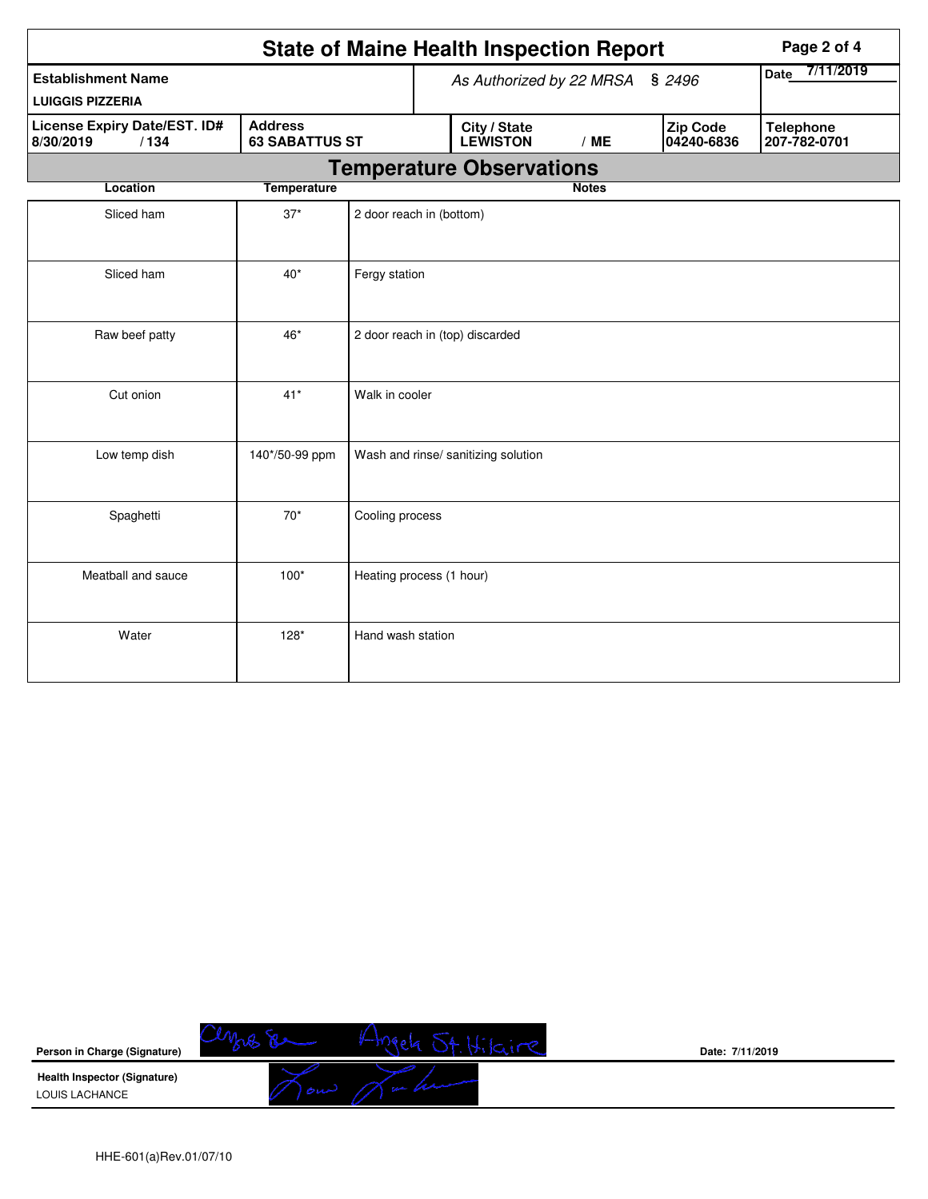|                                                      |                       |                                 | <b>State of Maine Health Inspection Report</b> | Page 2 of 4                     |                                  |                   |
|------------------------------------------------------|-----------------------|---------------------------------|------------------------------------------------|---------------------------------|----------------------------------|-------------------|
| <b>Establishment Name</b><br><b>LUIGGIS PIZZERIA</b> |                       |                                 |                                                | As Authorized by 22 MRSA § 2496 |                                  | 7/11/2019<br>Date |
| License Expiry Date/EST. ID#<br>8/30/2019<br>/134    | <b>63 SABATTUS ST</b> | City / State<br><b>LEWISTON</b> | /ME                                            | Zip Code<br>04240-6836          | <b>Telephone</b><br>207-782-0701 |                   |
|                                                      |                       |                                 | <b>Temperature Observations</b>                |                                 |                                  |                   |
| Location                                             | <b>Temperature</b>    |                                 |                                                | <b>Notes</b>                    |                                  |                   |
| Sliced ham                                           | $37*$                 | 2 door reach in (bottom)        |                                                |                                 |                                  |                   |
| Sliced ham                                           | $40*$                 | Fergy station                   |                                                |                                 |                                  |                   |
| Raw beef patty                                       | 46*                   |                                 | 2 door reach in (top) discarded                |                                 |                                  |                   |
| Cut onion                                            | $41*$                 | Walk in cooler                  |                                                |                                 |                                  |                   |
| Low temp dish                                        | 140*/50-99 ppm        |                                 | Wash and rinse/ sanitizing solution            |                                 |                                  |                   |
| Spaghetti                                            | $70*$                 | Cooling process                 |                                                |                                 |                                  |                   |
| Meatball and sauce                                   | $100*$                | Heating process (1 hour)        |                                                |                                 |                                  |                   |
| Water                                                | $128*$                | Hand wash station               |                                                |                                 |                                  |                   |



**Date: 7/11/2019**

HHE-601(a)Rev.01/07/10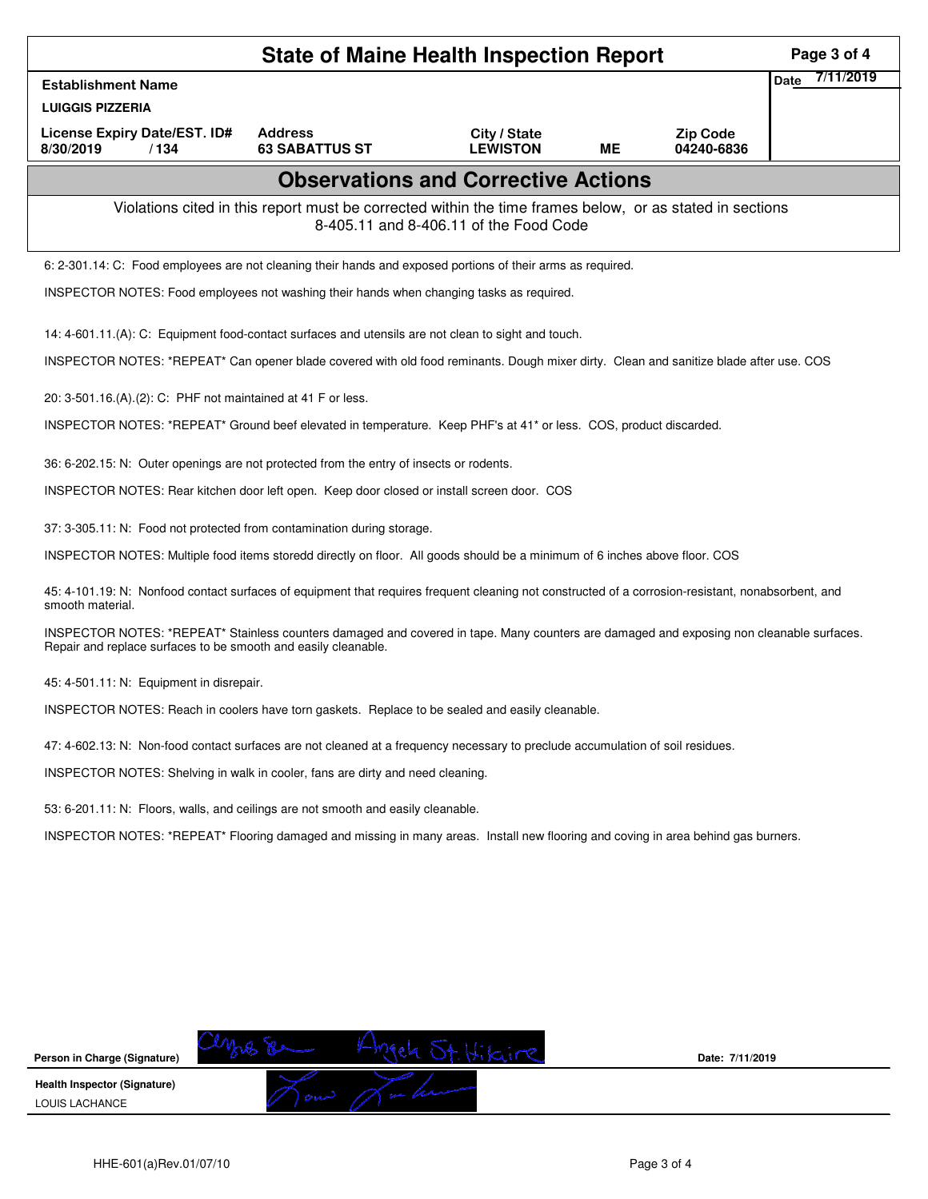|                                                                                                                                                                                                            | Page 3 of 4                                                                                                                                        |                                            |           |                               |                          |  |  |  |  |
|------------------------------------------------------------------------------------------------------------------------------------------------------------------------------------------------------------|----------------------------------------------------------------------------------------------------------------------------------------------------|--------------------------------------------|-----------|-------------------------------|--------------------------|--|--|--|--|
| <b>Establishment Name</b>                                                                                                                                                                                  |                                                                                                                                                    |                                            |           |                               | 7/11/2019<br><b>Date</b> |  |  |  |  |
| <b>LUIGGIS PIZZERIA</b>                                                                                                                                                                                    |                                                                                                                                                    |                                            |           |                               |                          |  |  |  |  |
| License Expiry Date/EST. ID#<br>8/30/2019<br>/134                                                                                                                                                          | <b>Address</b><br><b>63 SABATTUS ST</b>                                                                                                            | City / State<br><b>LEWISTON</b>            | <b>ME</b> | <b>Zip Code</b><br>04240-6836 |                          |  |  |  |  |
|                                                                                                                                                                                                            |                                                                                                                                                    | <b>Observations and Corrective Actions</b> |           |                               |                          |  |  |  |  |
|                                                                                                                                                                                                            | Violations cited in this report must be corrected within the time frames below, or as stated in sections<br>8-405.11 and 8-406.11 of the Food Code |                                            |           |                               |                          |  |  |  |  |
| 6: 2-301.14: C: Food employees are not cleaning their hands and exposed portions of their arms as required.                                                                                                |                                                                                                                                                    |                                            |           |                               |                          |  |  |  |  |
| INSPECTOR NOTES: Food employees not washing their hands when changing tasks as required.                                                                                                                   |                                                                                                                                                    |                                            |           |                               |                          |  |  |  |  |
| 14: 4-601.11.(A): C: Equipment food-contact surfaces and utensils are not clean to sight and touch.                                                                                                        |                                                                                                                                                    |                                            |           |                               |                          |  |  |  |  |
| INSPECTOR NOTES: *REPEAT* Can opener blade covered with old food reminants. Dough mixer dirty. Clean and sanitize blade after use. COS                                                                     |                                                                                                                                                    |                                            |           |                               |                          |  |  |  |  |
| 20: 3-501.16.(A).(2): C: PHF not maintained at 41 F or less.                                                                                                                                               |                                                                                                                                                    |                                            |           |                               |                          |  |  |  |  |
| INSPECTOR NOTES: *REPEAT* Ground beef elevated in temperature. Keep PHF's at 41* or less. COS, product discarded.                                                                                          |                                                                                                                                                    |                                            |           |                               |                          |  |  |  |  |
| 36: 6-202.15: N: Outer openings are not protected from the entry of insects or rodents.                                                                                                                    |                                                                                                                                                    |                                            |           |                               |                          |  |  |  |  |
| INSPECTOR NOTES: Rear kitchen door left open. Keep door closed or install screen door. COS                                                                                                                 |                                                                                                                                                    |                                            |           |                               |                          |  |  |  |  |
| 37: 3-305.11: N: Food not protected from contamination during storage.                                                                                                                                     |                                                                                                                                                    |                                            |           |                               |                          |  |  |  |  |
| INSPECTOR NOTES: Multiple food items storedd directly on floor. All goods should be a minimum of 6 inches above floor. COS                                                                                 |                                                                                                                                                    |                                            |           |                               |                          |  |  |  |  |
| 45: 4-101.19: N: Nonfood contact surfaces of equipment that requires frequent cleaning not constructed of a corrosion-resistant, nonabsorbent, and<br>smooth material.                                     |                                                                                                                                                    |                                            |           |                               |                          |  |  |  |  |
| INSPECTOR NOTES: *REPEAT* Stainless counters damaged and covered in tape. Many counters are damaged and exposing non cleanable surfaces.<br>Repair and replace surfaces to be smooth and easily cleanable. |                                                                                                                                                    |                                            |           |                               |                          |  |  |  |  |
| 45: 4-501.11: N: Equipment in disrepair.                                                                                                                                                                   |                                                                                                                                                    |                                            |           |                               |                          |  |  |  |  |
| INSPECTOR NOTES: Reach in coolers have torn gaskets. Replace to be sealed and easily cleanable.                                                                                                            |                                                                                                                                                    |                                            |           |                               |                          |  |  |  |  |
| 47: 4-602.13: N: Non-food contact surfaces are not cleaned at a frequency necessary to preclude accumulation of soil residues.                                                                             |                                                                                                                                                    |                                            |           |                               |                          |  |  |  |  |
|                                                                                                                                                                                                            | INSPECTOR NOTES: Shelving in walk in cooler, fans are dirty and need cleaning.                                                                     |                                            |           |                               |                          |  |  |  |  |
| 53: 6-201.11: N: Floors, walls, and ceilings are not smooth and easily cleanable.                                                                                                                          |                                                                                                                                                    |                                            |           |                               |                          |  |  |  |  |
| INSPECTOR NOTES: *REPEAT* Flooring damaged and missing in many areas. Install new flooring and coving in area behind gas burners.                                                                          |                                                                                                                                                    |                                            |           |                               |                          |  |  |  |  |
|                                                                                                                                                                                                            |                                                                                                                                                    |                                            |           |                               |                          |  |  |  |  |
|                                                                                                                                                                                                            |                                                                                                                                                    |                                            |           |                               |                          |  |  |  |  |
|                                                                                                                                                                                                            |                                                                                                                                                    |                                            |           |                               |                          |  |  |  |  |
|                                                                                                                                                                                                            |                                                                                                                                                    |                                            |           |                               |                          |  |  |  |  |
|                                                                                                                                                                                                            |                                                                                                                                                    |                                            |           |                               |                          |  |  |  |  |
|                                                                                                                                                                                                            |                                                                                                                                                    |                                            |           |                               |                          |  |  |  |  |
| Person in Charge (Signature)                                                                                                                                                                               |                                                                                                                                                    | St. Hikire                                 |           | Date: 7/11/2019               |                          |  |  |  |  |
| <b>Health Inspector (Signature)</b><br>LOUIS LACHANCE                                                                                                                                                      |                                                                                                                                                    |                                            |           |                               |                          |  |  |  |  |